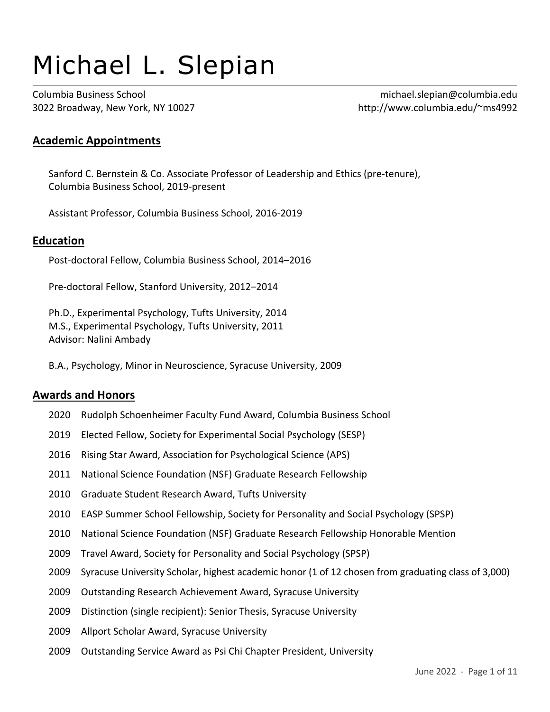# Michael L. Slepian

Columbia Business School michael.slepian@columbia.edu 3022 Broadway, New York, NY 10027 http://www.columbia.edu/~ms4992

# **Academic Appointments**

Sanford C. Bernstein & Co. Associate Professor of Leadership and Ethics (pre-tenure), Columbia Business School, 2019-present

Assistant Professor, Columbia Business School, 2016-2019

## **Education**

Post-doctoral Fellow, Columbia Business School, 2014–2016

Pre-doctoral Fellow, Stanford University, 2012–2014

Ph.D., Experimental Psychology, Tufts University, 2014 M.S., Experimental Psychology, Tufts University, 2011 Advisor: Nalini Ambady

B.A., Psychology, Minor in Neuroscience, Syracuse University, 2009

#### **Awards and Honors**

- 2020 Rudolph Schoenheimer Faculty Fund Award, Columbia Business School
- 2019 Elected Fellow, Society for Experimental Social Psychology (SESP)
- 2016 Rising Star Award, Association for Psychological Science (APS)
- 2011 National Science Foundation (NSF) Graduate Research Fellowship
- <sup>2010</sup> Graduate Student Research Award, Tufts University
- <sup>2010</sup> EASP Summer School Fellowship, Society for Personality and Social Psychology (SPSP)
- 2010 National Science Foundation (NSF) Graduate Research Fellowship Honorable Mention
- 2009 Travel Award, Society for Personality and Social Psychology (SPSP)
- <sup>2009</sup> Syracuse University Scholar, highest academic honor (1 of 12 chosen from graduating class of 3,000)
- <sup>2009</sup> Outstanding Research Achievement Award, Syracuse University
- 2009 Distinction (single recipient): Senior Thesis, Syracuse University
- 2009 Allport Scholar Award, Syracuse University
- 2009 Outstanding Service Award as Psi Chi Chapter President, University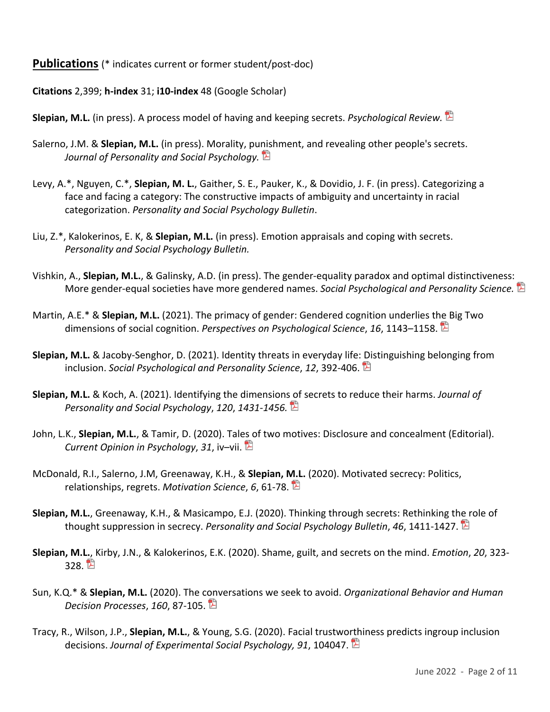## **Publications** (\* indicates current or former student/post-doc)

**Citations** 2,399; **h-index** 31; **i10-index** 48 (Google Scholar)

**Slepian, M.L.** (in press). A process model of having and keeping secrets. *Psychological Review.* 

- Salerno, J.M. & **Slepian, M.L.** (in press). Morality, punishment, and revealing other people's secrets. *Journal of Personality and Social Psychology.*
- Levy, A.\*, Nguyen, C.\*, **Slepian, M. L.**, Gaither, S. E., Pauker, K., & Dovidio, J. F. (in press). Categorizing a face and facing a category: The constructive impacts of ambiguity and uncertainty in racial categorization. *Personality and Social Psychology Bulletin*.
- Liu, Z.\*, Kalokerinos, E. K, & **Slepian, M.L.** (in press). Emotion appraisals and coping with secrets. *Personality and Social Psychology Bulletin.*
- Vishkin, A., **Slepian, M.L.**, & Galinsky, A.D. (in press). The gender-equality paradox and optimal distinctiveness: More gender-equal societies have more gendered names. *Social Psychological and Personality Science.*
- Martin, A.E.\* & **Slepian, M.L.** (2021). The primacy of gender: Gendered cognition underlies the Big Two dimensions of social cognition. *Perspectives on Psychological Science*, *16*, 1143–1158.
- **Slepian, M.L.** & Jacoby-Senghor, D. (2021). Identity threats in everyday life: Distinguishing belonging from inclusion. *Social Psychological and Personality Science*, *12*, 392-406.
- **Slepian, M.L.** & Koch, A. (2021). Identifying the dimensions of secrets to reduce their harms. *Journal of Personality and Social Psychology*, *120*, *1431-1456.*
- John, L.K., **Slepian, M.L.**, & Tamir, D. (2020). Tales of two motives: Disclosure and concealment (Editorial). *Current Opinion in Psychology*, *31*, iv–vii.
- McDonald, R.I., Salerno, J.M, Greenaway, K.H., & **Slepian, M.L.** (2020). Motivated secrecy: Politics, relationships, regrets. *Motivation Science*, *6*, 61-78.
- **Slepian, M.L.**, Greenaway, K.H., & Masicampo, E.J. (2020). Thinking through secrets: Rethinking the role of thought suppression in secrecy. *Personality and Social Psychology Bulletin*, *46*, 1411-1427.
- **Slepian, M.L.**, Kirby, J.N., & Kalokerinos, E.K. (2020). Shame, guilt, and secrets on the mind. *Emotion*, *20*, 323- 328. 凹
- Sun, K.Q.\* & **Slepian, M.L.** (2020). The conversations we seek to avoid. *Organizational Behavior and Human Decision Processes*, *160*, 87-105.
- Tracy, R., Wilson, J.P., **Slepian, M.L.**, & Young, S.G. (2020). Facial trustworthiness predicts ingroup inclusion decisions. *Journal of Experimental Social Psychology, 91*, 104047.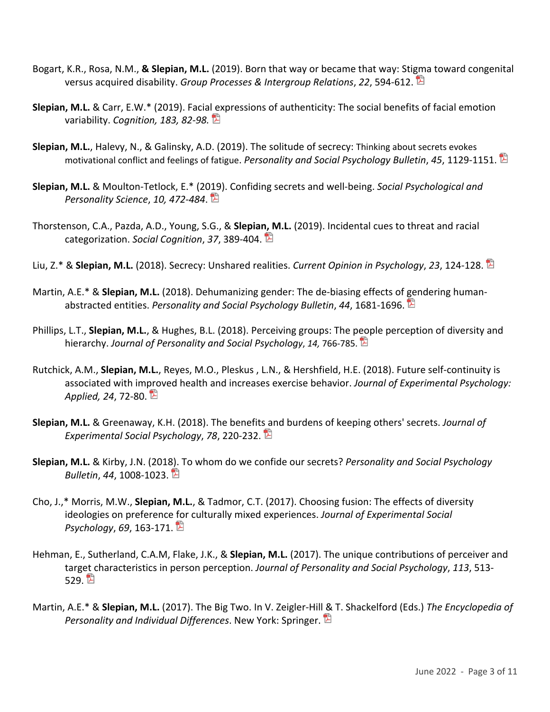- Bogart, K.R., Rosa, N.M., **& Slepian, M.L.** (2019). Born that way or became that way: Stigma toward congenital versus acquired disability. *Group Processes & Intergroup Relations*, *22*, 594-612.
- **Slepian, M.L.** & Carr, E.W.\* (2019). Facial expressions of authenticity: The social benefits of facial emotion variability. *Cognition, 183, 82-98.*
- **Slepian, M.L.**, Halevy, N., & Galinsky, A.D. (2019). The solitude of secrecy: Thinking about secrets evokes motivational conflict and feelings of fatigue. *Personality and Social Psychology Bulletin*, *45*, 1129-1151.
- **Slepian, M.L.** & Moulton-Tetlock, E.\* (2019). Confiding secrets and well-being. *Social Psychological and Personality Science*, *10, 472-484*.
- Thorstenson, C.A., Pazda, A.D., Young, S.G., & **Slepian, M.L.** (2019). Incidental cues to threat and racial categorization. *Social Cognition*, *37*, 389-404.
- Liu, Z.\* & **Slepian, M.L.** (2018). Secrecy: Unshared realities. *Current Opinion in Psychology*, *23*, 124-128.
- Martin, A.E.\* & **Slepian, M.L.** (2018). Dehumanizing gender: The de-biasing effects of gendering humanabstracted entities. *Personality and Social Psychology Bulletin*, *44*, 1681-1696.
- Phillips, L.T., **Slepian, M.L.**, & Hughes, B.L. (2018). Perceiving groups: The people perception of diversity and hierarchy. *Journal of Personality and Social Psychology*, *14,* 766-785.
- Rutchick, A.M., **Slepian, M.L.**, Reyes, M.O., Pleskus , L.N., & Hershfield, H.E. (2018). Future self-continuity is associated with improved health and increases exercise behavior. *Journal of Experimental Psychology: Applied, 24*, 72-80.
- **Slepian, M.L.** & Greenaway, K.H. (2018). The benefits and burdens of keeping others' secrets. *Journal of Experimental Social Psychology*, *78*, 220-232.
- **Slepian, M.L.** & Kirby, J.N. (2018). To whom do we confide our secrets? *Personality and Social Psychology Bulletin*, *44*, 1008-1023.
- Cho, J.,\* Morris, M.W., **Slepian, M.L.**, & Tadmor, C.T. (2017). Choosing fusion: The effects of diversity ideologies on preference for culturally mixed experiences. *Journal of Experimental Social Psychology*, *69*, 163-171.
- Hehman, E., Sutherland, C.A.M, Flake, J.K., & **Slepian, M.L.** (2017). The unique contributions of perceiver and target characteristics in person perception. *Journal of Personality and Social Psychology*, *113*, 513- 529. 閏
- Martin, A.E.\* & **Slepian, M.L.** (2017). The Big Two. In V. Zeigler-Hill & T. Shackelford (Eds.) *The Encyclopedia of Personality and Individual Differences*. New York: Springer.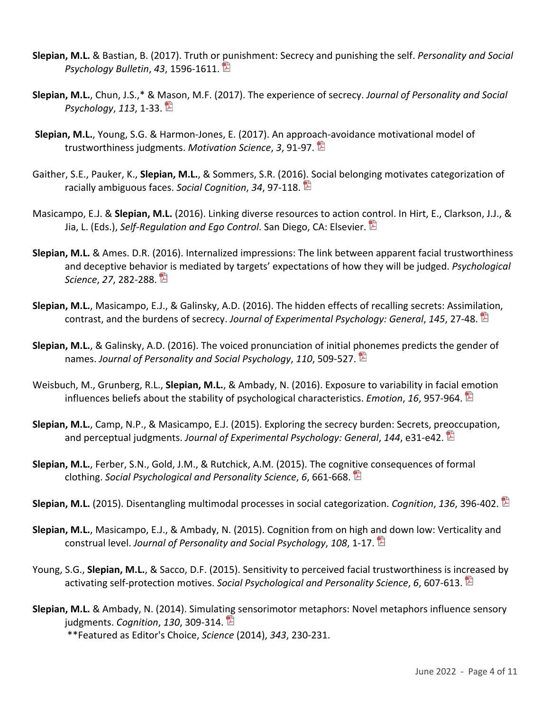- **Slepian, M.L.** & Bastian, B. (2017). Truth or punishment: Secrecy and punishing the self. *Personality and Social Psychology Bulletin*, *43*, 1596-1611.
- **Slepian, M.L.**, Chun, J.S.,\* & Mason, M.F. (2017). The experience of secrecy. *Journal of Personality and Social Psychology*, *113*, 1-33.
- **Slepian, M.L.**, Young, S.G. & Harmon-Jones, E. (2017). An approach-avoidance motivational model of trustworthiness judgments. *Motivation Science*, *3*, 91-97.
- Gaither, S.E., Pauker, K., **Slepian, M.L.**, & Sommers, S.R. (2016). Social belonging motivates categorization of racially ambiguous faces. *Social Cognition*, *34*, 97-118.
- Masicampo, E.J. & **Slepian, M.L.** (2016). Linking diverse resources to action control. In Hirt, E., Clarkson, J.J., & Jia, L. (Eds.), *Self-Regulation and Ego Control*. San Diego, CA: Elsevier.
- **Slepian, M.L.** & Ames. D.R. (2016). Internalized impressions: The link between apparent facial trustworthiness and deceptive behavior is mediated by targets' expectations of how they will be judged. *Psychological Science*, *27*, 282-288.
- **Slepian, M.L.**, Masicampo, E.J., & Galinsky, A.D. (2016). The hidden effects of recalling secrets: Assimilation, contrast, and the burdens of secrecy. *Journal of Experimental Psychology: General*, *145*, 27-48.
- **Slepian, M.L.**, & Galinsky, A.D. (2016). The voiced pronunciation of initial phonemes predicts the gender of names. *Journal of Personality and Social Psychology*, *110*, 509-527.
- Weisbuch, M., Grunberg, R.L., **Slepian, M.L.**, & Ambady, N. (2016). Exposure to variability in facial emotion influences beliefs about the stability of psychological characteristics. *Emotion*, *16*, 957-964.
- **Slepian, M.L.**, Camp, N.P., & Masicampo, E.J. (2015). Exploring the secrecy burden: Secrets, preoccupation, and perceptual judgments. *Journal of Experimental Psychology: General*, *144*, e31-e42.
- **Slepian, M.L.**, Ferber, S.N., Gold, J.M., & Rutchick, A.M. (2015). The cognitive consequences of formal clothing. *Social Psychological and Personality Science*, *6*, 661-668.
- **Slepian, M.L.** (2015). Disentangling multimodal processes in social categorization. *Cognition*, *136*, 396-402.
- **Slepian, M.L.**, Masicampo, E.J., & Ambady, N. (2015). Cognition from on high and down low: Verticality and construal level. *Journal of Personality and Social Psychology*, *108*, 1-17.
- Young, S.G., **Slepian, M.L.**, & Sacco, D.F. (2015). Sensitivity to perceived facial trustworthiness is increased by activating self-protection motives. *Social Psychological and Personality Science*, *6*, 607-613.
- **Slepian, M.L.** & Ambady, N. (2014). Simulating sensorimotor metaphors: Novel metaphors influence sensory judgments. *Cognition*, *130*, 309-314.

\*\*Featured as Editor's Choice, *Science* (2014), *343*, 230-231.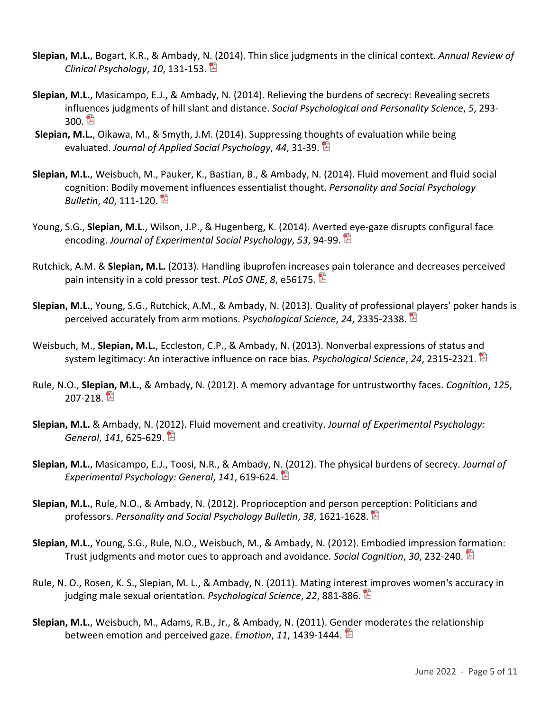- **Slepian, M.L.**, Bogart, K.R., & Ambady, N. (2014). Thin slice judgments in the clinical context. *Annual Review of Clinical Psychology*, *10*, 131-153.
- **Slepian, M.L.**, Masicampo, E.J., & Ambady, N. (2014). Relieving the burdens of secrecy: Revealing secrets influences judgments of hill slant and distance. *Social Psychological and Personality Science*, *5*, 293- 300. E
- **Slepian, M.L.**, Oikawa, M., & Smyth, J.M. (2014). Suppressing thoughts of evaluation while being evaluated. *Journal of Applied Social Psychology*, *44*, 31-39.
- **Slepian, M.L.**, Weisbuch, M., Pauker, K., Bastian, B., & Ambady, N. (2014). Fluid movement and fluid social cognition: Bodily movement influences essentialist thought. *Personality and Social Psychology Bulletin*, *40*, 111-120.
- Young, S.G., **Slepian, M.L.**, Wilson, J.P., & Hugenberg, K. (2014). Averted eye-gaze disrupts configural face encoding. *Journal of Experimental Social Psychology*, *53*, 94-99.
- Rutchick, A.M. & **Slepian, M.L.** (2013). Handling ibuprofen increases pain tolerance and decreases perceived pain intensity in a cold pressor test. *PLoS ONE*, *8*, e56175.
- **Slepian, M.L.**, Young, S.G., Rutchick, A.M., & Ambady, N. (2013). Quality of professional players' poker hands is perceived accurately from arm motions. *Psychological Science*, *24*, 2335-2338.
- Weisbuch, M., **Slepian, M.L.**, Eccleston, C.P., & Ambady, N. (2013). Nonverbal expressions of status and system legitimacy: An interactive influence on race bias. *Psychological Science*, *24*, 2315-2321.
- Rule, N.O., **Slepian, M.L.**, & Ambady, N. (2012). A memory advantage for untrustworthy faces. *Cognition*, *125*,  $207-218.$
- **Slepian, M.L.** & Ambady, N. (2012). Fluid movement and creativity. *Journal of Experimental Psychology: General*, *141*, 625-629.
- **Slepian, M.L.**, Masicampo, E.J., Toosi, N.R., & Ambady, N. (2012). The physical burdens of secrecy. *Journal of Experimental Psychology: General*, *141*, 619-624.
- **Slepian, M.L.**, Rule, N.O., & Ambady, N. (2012). Proprioception and person perception: Politicians and professors. *Personality and Social Psychology Bulletin*, *38*, 1621-1628.
- **Slepian, M.L.**, Young, S.G., Rule, N.O., Weisbuch, M., & Ambady, N. (2012). Embodied impression formation: Trust judgments and motor cues to approach and avoidance. *Social Cognition*, *30*, 232-240.
- Rule, N. O., Rosen, K. S., Slepian, M. L., & Ambady, N. (2011). Mating interest improves women's accuracy in judging male sexual orientation. *Psychological Science*, *22*, 881-886.
- **Slepian, M.L.**, Weisbuch, M., Adams, R.B., Jr., & Ambady, N. (2011). Gender moderates the relationship between emotion and perceived gaze. *Emotion*, *11*, 1439-1444.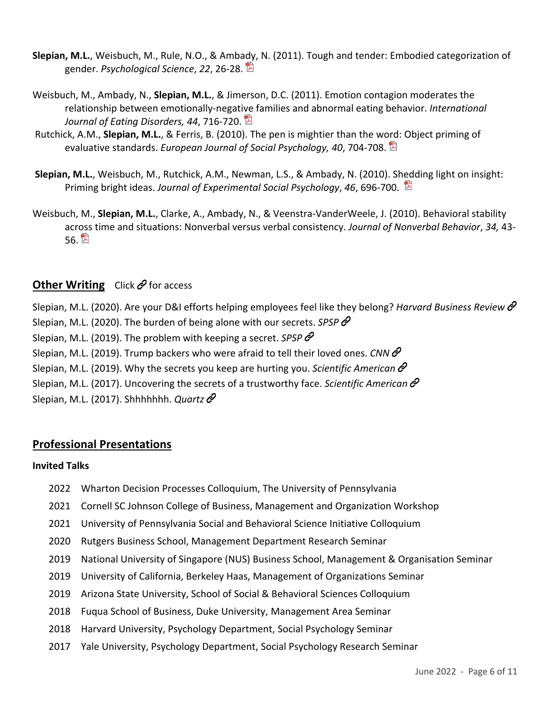- **Slepian, M.L.**, Weisbuch, M., Rule, N.O., & Ambady, N. (2011). Tough and tender: Embodied categorization of gender. *Psychological Science*, *22*, 26-28.
- Weisbuch, M., Ambady, N., **Slepian, M.L.**, & Jimerson, D.C. (2011). Emotion contagion moderates the relationship between emotionally-negative families and abnormal eating behavior. *International Journal of Eating Disorders, 44*, 716-720.
- Rutchick, A.M., **Slepian, M.L.**, & Ferris, B. (2010). The pen is mightier than the word: Object priming of evaluative standards. *European Journal of Social Psychology, 40*, 704-708.
- **Slepian, M.L.**, Weisbuch, M., Rutchick, A.M., Newman, L.S., & Ambady, N. (2010). Shedding light on insight: Priming bright ideas. *Journal of Experimental Social Psychology*, *46*, 696-700.
- Weisbuch, M., **Slepian, M.L.**, Clarke, A., Ambady, N., & Veenstra-VanderWeele, J. (2010). Behavioral stability across time and situations: Nonverbal versus verbal consistency. *Journal of Nonverbal Behavior*, *34,* 43- 56. E

## **Other Writing** Click  $\mathcal{O}$  for access

Slepian, M.L. (2020). Are your D&I efforts helping employees feel like they belong? *Harvard Business Review* Slepian, M.L. (2020). The burden of being alone with our secrets. *SPSP*  Slepian, M.L. (2019). The problem with keeping a secret. *SPSP*  Slepian, M.L. (2019). Trump backers who were afraid to tell their loved ones. *CNN* Slepian, M.L. (2019). Why the secrets you keep are hurting you. *Scientific American*  Slepian, M.L. (2017). Uncovering the secrets of a trustworthy face. *Scientific American*  Slepian, M.L. (2017). Shhhhhhh. *Quartz* 

## **Professional Presentations**

#### **Invited Talks**

- 2022 Wharton Decision Processes Colloquium, The University of Pennsylvania
- 2021 Cornell SC Johnson College of Business, Management and Organization Workshop
- 2021 University of Pennsylvania Social and Behavioral Science Initiative Colloquium
- 2020 Rutgers Business School, Management Department Research Seminar
- 2019 National University of Singapore (NUS) Business School, Management & Organisation Seminar
- 2019 University of California, Berkeley Haas, Management of Organizations Seminar
- 2019 Arizona State University, School of Social & Behavioral Sciences Colloquium
- 2018 Fuqua School of Business, Duke University, Management Area Seminar
- 2018 Harvard University, Psychology Department, Social Psychology Seminar
- 2017 Yale University, Psychology Department, Social Psychology Research Seminar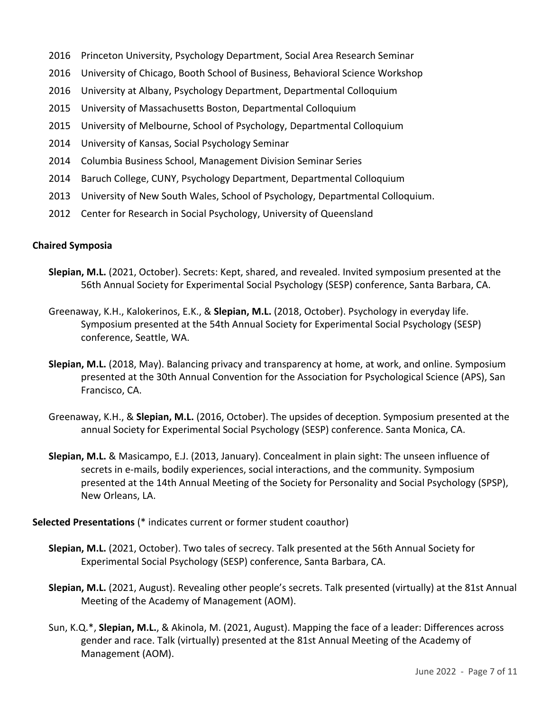- 2016 Princeton University, Psychology Department, Social Area Research Seminar
- 2016 University of Chicago, Booth School of Business, Behavioral Science Workshop
- 2016 University at Albany, Psychology Department, Departmental Colloquium
- 2015 University of Massachusetts Boston, Departmental Colloquium
- 2015 University of Melbourne, School of Psychology, Departmental Colloquium
- 2014 University of Kansas, Social Psychology Seminar
- 2014 Columbia Business School, Management Division Seminar Series
- 2014 Baruch College, CUNY, Psychology Department, Departmental Colloquium
- 2013 University of New South Wales, School of Psychology, Departmental Colloquium.
- 2012 Center for Research in Social Psychology, University of Queensland

#### **Chaired Symposia**

- **Slepian, M.L.** (2021, October). Secrets: Kept, shared, and revealed. Invited symposium presented at the 56th Annual Society for Experimental Social Psychology (SESP) conference, Santa Barbara, CA.
- Greenaway, K.H., Kalokerinos, E.K., & **Slepian, M.L.** (2018, October). Psychology in everyday life. Symposium presented at the 54th Annual Society for Experimental Social Psychology (SESP) conference, Seattle, WA.
- **Slepian, M.L.** (2018, May). Balancing privacy and transparency at home, at work, and online. Symposium presented at the 30th Annual Convention for the Association for Psychological Science (APS), San Francisco, CA.
- Greenaway, K.H., & **Slepian, M.L.** (2016, October). The upsides of deception. Symposium presented at the annual Society for Experimental Social Psychology (SESP) conference. Santa Monica, CA.
- **Slepian, M.L.** & Masicampo, E.J. (2013, January). Concealment in plain sight: The unseen influence of secrets in e-mails, bodily experiences, social interactions, and the community. Symposium presented at the 14th Annual Meeting of the Society for Personality and Social Psychology (SPSP), New Orleans, LA.

#### **Selected Presentations** (\* indicates current or former student coauthor)

- **Slepian, M.L.** (2021, October). Two tales of secrecy. Talk presented at the 56th Annual Society for Experimental Social Psychology (SESP) conference, Santa Barbara, CA.
- **Slepian, M.L.** (2021, August). Revealing other people's secrets. Talk presented (virtually) at the 81st Annual Meeting of the Academy of Management (AOM).
- Sun, K.Q.\*, **Slepian, M.L.**, & Akinola, M. (2021, August). Mapping the face of a leader: Differences across gender and race. Talk (virtually) presented at the 81st Annual Meeting of the Academy of Management (AOM).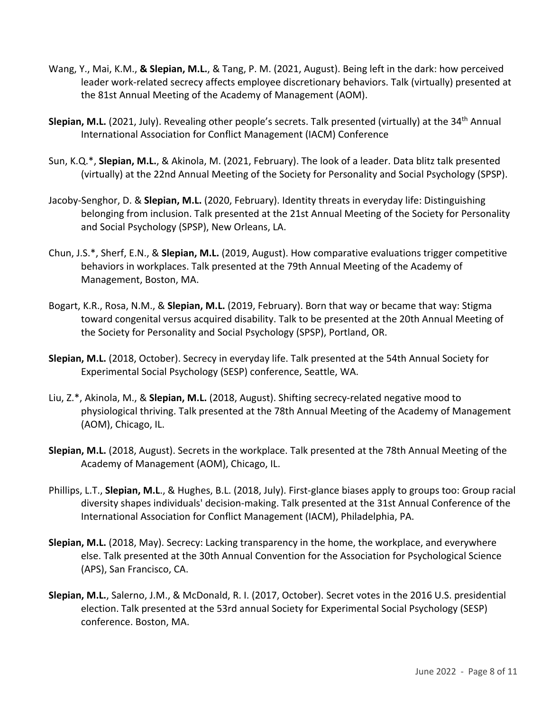- Wang, Y., Mai, K.M., **& Slepian, M.L.**, & Tang, P. M. (2021, August). Being left in the dark: how perceived leader work-related secrecy affects employee discretionary behaviors. Talk (virtually) presented at the 81st Annual Meeting of the Academy of Management (AOM).
- **Slepian, M.L.** (2021, July). Revealing other people's secrets. Talk presented (virtually) at the 34<sup>th</sup> Annual International Association for Conflict Management (IACM) Conference
- Sun, K.Q.\*, **Slepian, M.L.**, & Akinola, M. (2021, February). The look of a leader. Data blitz talk presented (virtually) at the 22nd Annual Meeting of the Society for Personality and Social Psychology (SPSP).
- Jacoby-Senghor, D. & **Slepian, M.L.** (2020, February). Identity threats in everyday life: Distinguishing belonging from inclusion. Talk presented at the 21st Annual Meeting of the Society for Personality and Social Psychology (SPSP), New Orleans, LA.
- Chun, J.S.\*, Sherf, E.N., & **Slepian, M.L.** (2019, August). How comparative evaluations trigger competitive behaviors in workplaces. Talk presented at the 79th Annual Meeting of the Academy of Management, Boston, MA.
- Bogart, K.R., Rosa, N.M., & **Slepian, M.L.** (2019, February). Born that way or became that way: Stigma toward congenital versus acquired disability. Talk to be presented at the 20th Annual Meeting of the Society for Personality and Social Psychology (SPSP), Portland, OR.
- **Slepian, M.L.** (2018, October). Secrecy in everyday life. Talk presented at the 54th Annual Society for Experimental Social Psychology (SESP) conference, Seattle, WA.
- Liu, Z.\*, Akinola, M., & **Slepian, M.L.** (2018, August). Shifting secrecy-related negative mood to physiological thriving. Talk presented at the 78th Annual Meeting of the Academy of Management (AOM), Chicago, IL.
- **Slepian, M.L.** (2018, August). Secrets in the workplace. Talk presented at the 78th Annual Meeting of the Academy of Management (AOM), Chicago, IL.
- Phillips, L.T., **Slepian, M.L**., & Hughes, B.L. (2018, July). First-glance biases apply to groups too: Group racial diversity shapes individuals' decision-making. Talk presented at the 31st Annual Conference of the International Association for Conflict Management (IACM), Philadelphia, PA.
- **Slepian, M.L.** (2018, May). Secrecy: Lacking transparency in the home, the workplace, and everywhere else. Talk presented at the 30th Annual Convention for the Association for Psychological Science (APS), San Francisco, CA.
- **Slepian, M.L.**, Salerno, J.M., & McDonald, R. I. (2017, October). Secret votes in the 2016 U.S. presidential election. Talk presented at the 53rd annual Society for Experimental Social Psychology (SESP) conference. Boston, MA.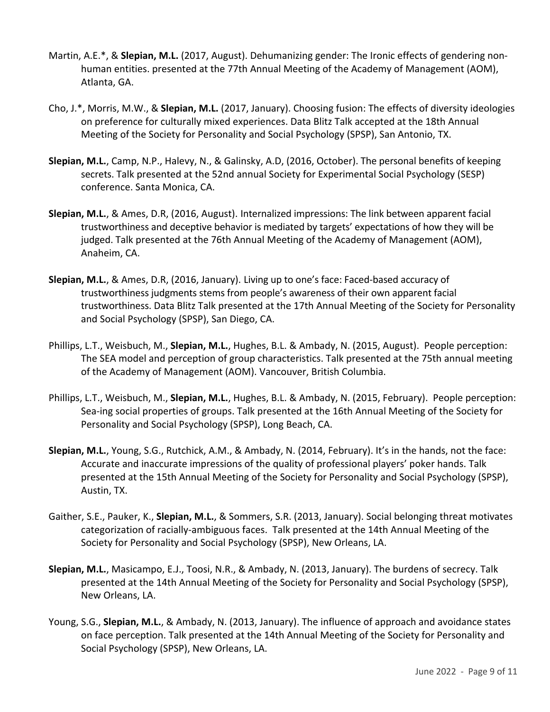- Martin, A.E.\*, & **Slepian, M.L.** (2017, August). Dehumanizing gender: The Ironic effects of gendering nonhuman entities. presented at the 77th Annual Meeting of the Academy of Management (AOM), Atlanta, GA.
- Cho, J.\*, Morris, M.W., & **Slepian, M.L.** (2017, January). Choosing fusion: The effects of diversity ideologies on preference for culturally mixed experiences. Data Blitz Talk accepted at the 18th Annual Meeting of the Society for Personality and Social Psychology (SPSP), San Antonio, TX.
- **Slepian, M.L.**, Camp, N.P., Halevy, N., & Galinsky, A.D, (2016, October). The personal benefits of keeping secrets. Talk presented at the 52nd annual Society for Experimental Social Psychology (SESP) conference. Santa Monica, CA.
- **Slepian, M.L.**, & Ames, D.R, (2016, August). Internalized impressions: The link between apparent facial trustworthiness and deceptive behavior is mediated by targets' expectations of how they will be judged. Talk presented at the 76th Annual Meeting of the Academy of Management (AOM), Anaheim, CA.
- **Slepian, M.L.**, & Ames, D.R, (2016, January). Living up to one's face: Faced-based accuracy of trustworthiness judgments stems from people's awareness of their own apparent facial trustworthiness. Data Blitz Talk presented at the 17th Annual Meeting of the Society for Personality and Social Psychology (SPSP), San Diego, CA.
- Phillips, L.T., Weisbuch, M., **Slepian, M.L.**, Hughes, B.L. & Ambady, N. (2015, August). People perception: The SEA model and perception of group characteristics. Talk presented at the 75th annual meeting of the Academy of Management (AOM). Vancouver, British Columbia.
- Phillips, L.T., Weisbuch, M., **Slepian, M.L.**, Hughes, B.L. & Ambady, N. (2015, February). People perception: Sea-ing social properties of groups. Talk presented at the 16th Annual Meeting of the Society for Personality and Social Psychology (SPSP), Long Beach, CA.
- **Slepian, M.L.**, Young, S.G., Rutchick, A.M., & Ambady, N. (2014, February). It's in the hands, not the face: Accurate and inaccurate impressions of the quality of professional players' poker hands. Talk presented at the 15th Annual Meeting of the Society for Personality and Social Psychology (SPSP), Austin, TX.
- Gaither, S.E., Pauker, K., **Slepian, M.L.**, & Sommers, S.R. (2013, January). Social belonging threat motivates categorization of racially-ambiguous faces. Talk presented at the 14th Annual Meeting of the Society for Personality and Social Psychology (SPSP), New Orleans, LA.
- **Slepian, M.L.**, Masicampo, E.J., Toosi, N.R., & Ambady, N. (2013, January). The burdens of secrecy. Talk presented at the 14th Annual Meeting of the Society for Personality and Social Psychology (SPSP), New Orleans, LA.
- Young, S.G., **Slepian, M.L.**, & Ambady, N. (2013, January). The influence of approach and avoidance states on face perception. Talk presented at the 14th Annual Meeting of the Society for Personality and Social Psychology (SPSP), New Orleans, LA.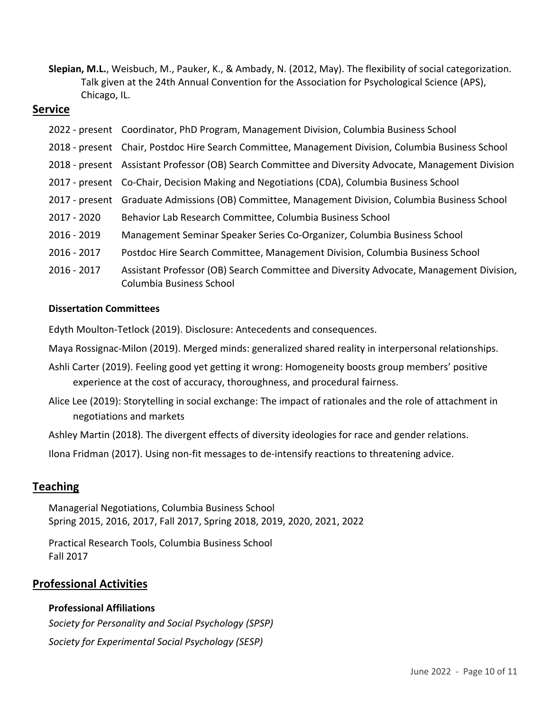**Slepian, M.L.**, Weisbuch, M., Pauker, K., & Ambady, N. (2012, May). The flexibility of social categorization. Talk given at the 24th Annual Convention for the Association for Psychological Science (APS), Chicago, IL.

#### **Service**

|             | 2022 - present Coordinator, PhD Program, Management Division, Columbia Business School                             |
|-------------|--------------------------------------------------------------------------------------------------------------------|
|             | 2018 - present Chair, Postdoc Hire Search Committee, Management Division, Columbia Business School                 |
|             | 2018 - present Assistant Professor (OB) Search Committee and Diversity Advocate, Management Division               |
|             | 2017 - present Co-Chair, Decision Making and Negotiations (CDA), Columbia Business School                          |
|             | 2017 - present Graduate Admissions (OB) Committee, Management Division, Columbia Business School                   |
| 2017 - 2020 | Behavior Lab Research Committee, Columbia Business School                                                          |
| 2016 - 2019 | Management Seminar Speaker Series Co-Organizer, Columbia Business School                                           |
| 2016 - 2017 | Postdoc Hire Search Committee, Management Division, Columbia Business School                                       |
| 2016 - 2017 | Assistant Professor (OB) Search Committee and Diversity Advocate, Management Division,<br>Columbia Business School |

#### **Dissertation Committees**

Edyth Moulton-Tetlock (2019). Disclosure: Antecedents and consequences.

Maya Rossignac-Milon (2019). Merged minds: generalized shared reality in interpersonal relationships.

- Ashli Carter (2019). Feeling good yet getting it wrong: Homogeneity boosts group members' positive experience at the cost of accuracy, thoroughness, and procedural fairness.
- Alice Lee (2019): Storytelling in social exchange: The impact of rationales and the role of attachment in negotiations and markets

Ashley Martin (2018). The divergent effects of diversity ideologies for race and gender relations.

Ilona Fridman (2017). Using non-fit messages to de-intensify reactions to threatening advice.

## **Teaching**

Managerial Negotiations, Columbia Business School Spring 2015, 2016, 2017, Fall 2017, Spring 2018, 2019, 2020, 2021, 2022

Practical Research Tools, Columbia Business School Fall 2017

## **Professional Activities**

#### **Professional Affiliations**

*Society for Personality and Social Psychology (SPSP) Society for Experimental Social Psychology (SESP)*